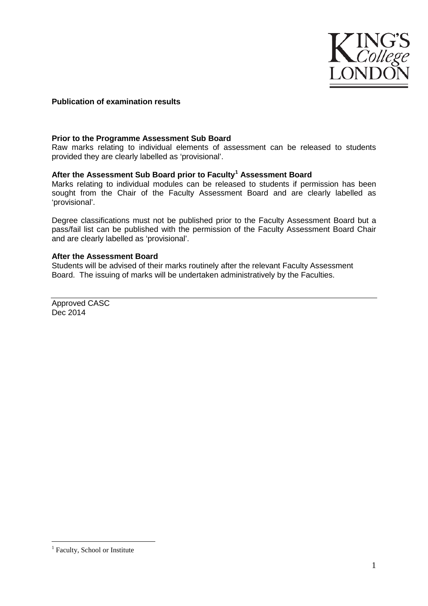

## **Publication of examination results**

#### **Prior to the Programme Assessment Sub Board**

Raw marks relating to individual elements of assessment can be released to students provided they are clearly labelled as 'provisional'.

### **After the Assessment Sub Board prior to Faculty[1](#page-0-0) Assessment Board**

Marks relating to individual modules can be released to students if permission has been sought from the Chair of the Faculty Assessment Board and are clearly labelled as 'provisional'.

Degree classifications must not be published prior to the Faculty Assessment Board but a pass/fail list can be published with the permission of the Faculty Assessment Board Chair and are clearly labelled as 'provisional'.

### **After the Assessment Board**

Students will be advised of their marks routinely after the relevant Faculty Assessment Board. The issuing of marks will be undertaken administratively by the Faculties.

Approved CASC Dec 2014

<u>.</u>

<span id="page-0-0"></span><sup>&</sup>lt;sup>1</sup> Faculty, School or Institute